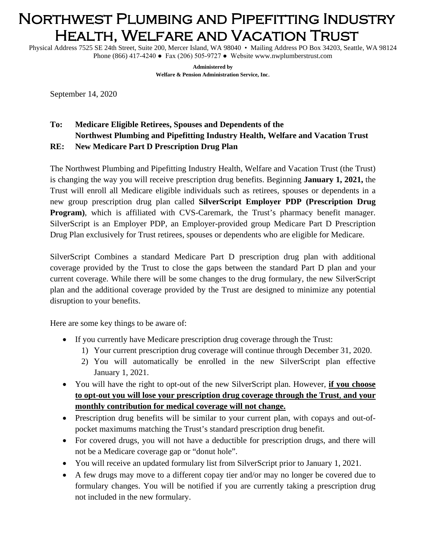## Northwest Plumbing and Pipefitting Industry Health, Welfare and Vacation Trust

Physical Address 7525 SE 24th Street, Suite 200, Mercer Island, WA 98040 • Mailing Address PO Box 34203, Seattle, WA 98124 Phone (866) 417-4240 ● Fax (206) 505-9727 ● Website www.nwplumberstrust.com

> **Administered by Welfare & Pension Administration Service, Inc**.

September 14, 2020

## **To: Medicare Eligible Retirees, Spouses and Dependents of the Northwest Plumbing and Pipefitting Industry Health, Welfare and Vacation Trust RE: New Medicare Part D Prescription Drug Plan**

The Northwest Plumbing and Pipefitting Industry Health, Welfare and Vacation Trust (the Trust) is changing the way you will receive prescription drug benefits. Beginning **January 1, 2021,** the Trust will enroll all Medicare eligible individuals such as retirees, spouses or dependents in a new group prescription drug plan called **SilverScript Employer PDP (Prescription Drug Program)**, which is affiliated with CVS-Caremark, the Trust's pharmacy benefit manager. SilverScript is an Employer PDP, an Employer-provided group Medicare Part D Prescription Drug Plan exclusively for Trust retirees, spouses or dependents who are eligible for Medicare.

SilverScript Combines a standard Medicare Part D prescription drug plan with additional coverage provided by the Trust to close the gaps between the standard Part D plan and your current coverage. While there will be some changes to the drug formulary, the new SilverScript plan and the additional coverage provided by the Trust are designed to minimize any potential disruption to your benefits.

Here are some key things to be aware of:

- If you currently have Medicare prescription drug coverage through the Trust:
	- 1) Your current prescription drug coverage will continue through December 31, 2020.
	- 2) You will automatically be enrolled in the new SilverScript plan effective January 1, 2021.
- You will have the right to opt-out of the new SilverScript plan. However, **if you choose to opt-out you will lose your prescription drug coverage through the Trust**, **and your monthly contribution for medical coverage will not change.**
- Prescription drug benefits will be similar to your current plan, with copays and out-ofpocket maximums matching the Trust's standard prescription drug benefit.
- For covered drugs, you will not have a deductible for prescription drugs, and there will not be a Medicare coverage gap or "donut hole".
- You will receive an updated formulary list from SilverScript prior to January 1, 2021.
- A few drugs may move to a different copay tier and/or may no longer be covered due to formulary changes. You will be notified if you are currently taking a prescription drug not included in the new formulary.